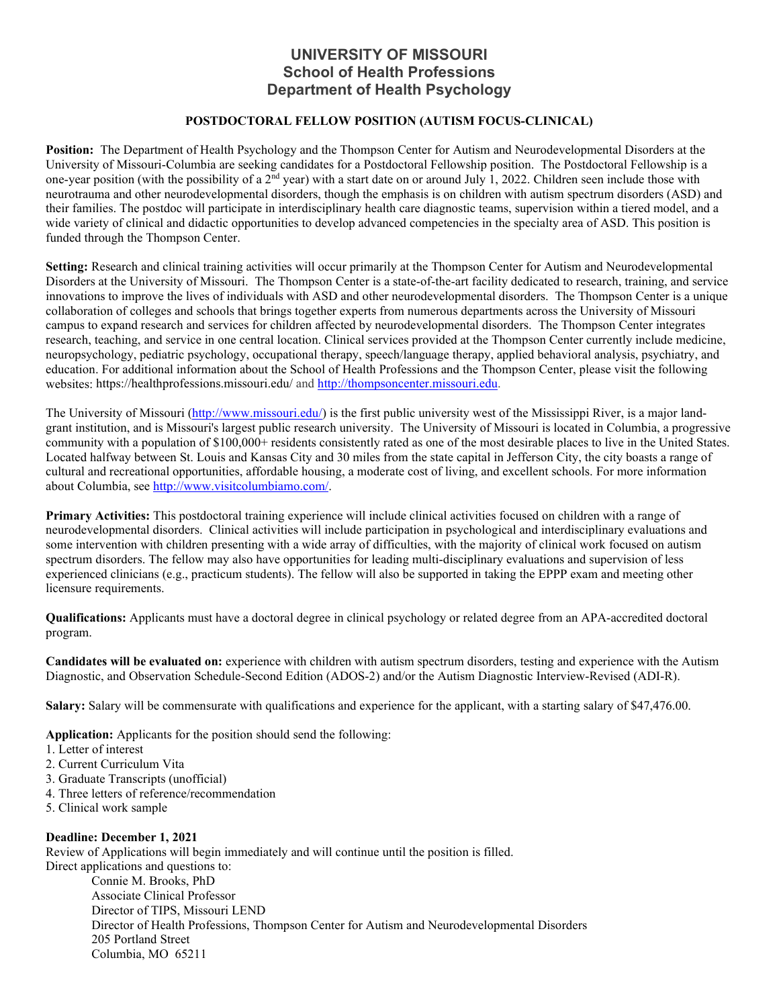# **UNIVERSITY OF MISSOURI School of Health Professions Department of Health Psychology**

### **POSTDOCTORAL FELLOW POSITION (AUTISM FOCUS-CLINICAL)**

**Position:** The Department of Health Psychology and the Thompson Center for Autism and Neurodevelopmental Disorders at the University of Missouri-Columbia are seeking candidates for a Postdoctoral Fellowship position. The Postdoctoral Fellowship is a one-year position (with the possibility of a 2<sup>nd</sup> year) with a start date on or around July 1, 2022. Children seen include those with neurotrauma and other neurodevelopmental disorders, though the emphasis is on children with autism spectrum disorders (ASD) and their families. The postdoc will participate in interdisciplinary health care diagnostic teams, supervision within a tiered model, and a wide variety of clinical and didactic opportunities to develop advanced competencies in the specialty area of ASD. This position is funded through the Thompson Center.

**Setting:** Research and clinical training activities will occur primarily at the Thompson Center for Autism and Neurodevelopmental Disorders at the University of Missouri. The Thompson Center is a state-of-the-art facility dedicated to research, training, and service innovations to improve the lives of individuals with ASD and other neurodevelopmental disorders. The Thompson Center is a unique collaboration of colleges and schools that brings together experts from numerous departments across the University of Missouri campus to expand research and services for children affected by neurodevelopmental disorders. The Thompson Center integrates research, teaching, and service in one central location. Clinical services provided at the Thompson Center currently include medicine, neuropsychology, pediatric psychology, occupational therapy, speech/language therapy, applied behavioral analysis, psychiatry, and education. For additional information about the School of Health Professions and the Thompson Center, please visit the following websites: https://healthprofessions.missouri.edu/ and [http://thompsoncenter.missouri.edu.](http://thompsoncenter.missouri.edu/)

The University of Missouri [\(http://www.missouri.edu/\)](http://www.missouri.edu/) is the first public university west of the Mississippi River, is a major landgrant institution, and is Missouri's largest public research university. The University of Missouri is located in Columbia, a progressive community with a population of \$100,000+ residents consistently rated as one of the most desirable places to live in the United States. Located halfway between St. Louis and Kansas City and 30 miles from the state capital in Jefferson City, the city boasts a range of cultural and recreational opportunities, affordable housing, a moderate cost of living, and excellent schools. For more information about Columbia, see [http://www.visitcolumbiamo.com/.](http://www.visitcolumbiamo.com/)

**Primary Activities:** This postdoctoral training experience will include clinical activities focused on children with a range of neurodevelopmental disorders. Clinical activities will include participation in psychological and interdisciplinary evaluations and some intervention with children presenting with a wide array of difficulties, with the majority of clinical work focused on autism spectrum disorders. The fellow may also have opportunities for leading multi-disciplinary evaluations and supervision of less experienced clinicians (e.g., practicum students). The fellow will also be supported in taking the EPPP exam and meeting other licensure requirements.

**Qualifications:** Applicants must have a doctoral degree in clinical psychology or related degree from an APA-accredited doctoral program.

**Candidates will be evaluated on:** experience with children with autism spectrum disorders, testing and experience with the Autism Diagnostic, and Observation Schedule-Second Edition (ADOS-2) and/or the Autism Diagnostic Interview-Revised (ADI-R).

**Salary:** Salary will be commensurate with qualifications and experience for the applicant, with a starting salary of \$47,476.00.

**Application:** Applicants for the position should send the following:

- 1. Letter of interest
- 2. Current Curriculum Vita
- 3. Graduate Transcripts (unofficial)
- 4. Three letters of reference/recommendation
- 5. Clinical work sample

#### **Deadline: December 1, 2021**

Review of Applications will begin immediately and will continue until the position is filled. Direct applications and questions to:

Connie M. Brooks, PhD Associate Clinical Professor Director of TIPS, Missouri LEND Director of Health Professions, Thompson Center for Autism and Neurodevelopmental Disorders 205 Portland Street Columbia, MO 65211